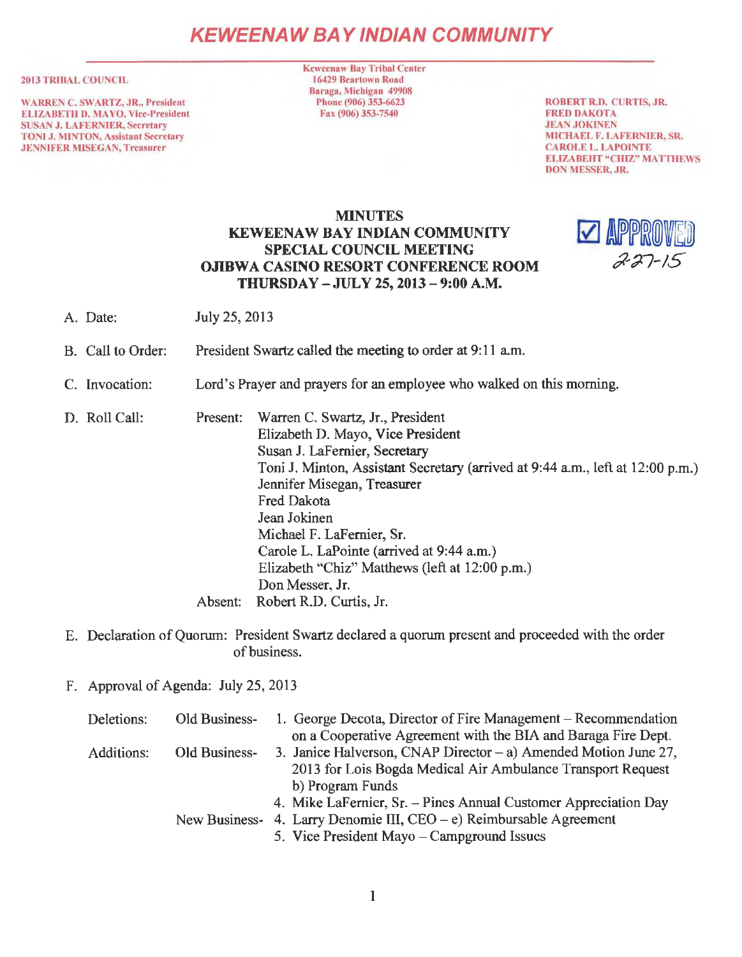# **KEWEENAW BAY IND/AN COMMUNITY**

#### 2013 TRIBAL COUNCIL

WARREN C. SWARTZ, JR., President ELIZABETH D. MA YO, Vice-President SUSAN J. LAFERNIER, Secretary TONI J. MINTON, Assistant Secretary **JENNIFER MISEGAN, Treasurer** 

**Keweenaw Bay Tribal Center** 16429 Bcartown Road Baraga, Michigan 49908 Phone (906) 353-6623 Fax (906) 353-7540

ROBERT R.D. CURTIS, JR. FRED DAKOTA .JEAN JOKINEN MICHAEL F. LAFERNIER, SR. CAROLE L. LAPOINTE ELIZABEHT "CHIZ" MATIHEWS DON MESSER, JR.

## MINUTES KEWEENAW BAY INDIAN COMMUNITY SPECIAL COUNCIL MEETING OJIBWA CASINO RESORT CONFERENCE ROOM THURSDAY - JULY 25, 2013 - 9:00 A.M.



- A. Date: July 25, 2013
- B. Call to Order: President Swartz called the meeting to order at 9:11 a.m.
- C. Invocation: Lord's Prayer and prayers for an employee who walked on this morning.

D. Roll Call: Present: Warren C. Swartz, Jr., President Elizabeth D. Mayo, Vice President Susan J. LaFemier, Secretary Toni J. Minton, Assistant Secretary (arrived at 9:44 a.m., left at 12:00 p.m.) Jennifer Misegan, Treasurer Fred Dakota Jean Jokinen Michael F. LaFemier, Sr. Carole L. LaPointe (arrived at 9:44 a.m.) Elizabeth "Chiz" Matthews (left at 12:00 p.m.) Don Messer, Jr. Absent: Robert R.D. Curtis, Jr.

E. Declaration of Quorum: President Swartz declared a quorum present and proceeded with the order of business.

F. Approval of Agenda: July 25, 2013

| Deletions: | Old Business- | 1. George Decota, Director of Fire Management – Recommendation         |
|------------|---------------|------------------------------------------------------------------------|
|            |               | on a Cooperative Agreement with the BIA and Baraga Fire Dept.          |
| Additions: | Old Business- | 3. Janice Halverson, CNAP Director $-$ a) Amended Motion June 27,      |
|            |               | 2013 for Lois Bogda Medical Air Ambulance Transport Request            |
|            |               | b) Program Funds                                                       |
|            |               | 4. Mike LaFernier, Sr. - Pines Annual Customer Appreciation Day        |
|            |               | New Business- 4. Larry Denomie III, $CEO - e$ ) Reimbursable Agreement |
|            |               | 5. Vice President Mayo – Campground Issues                             |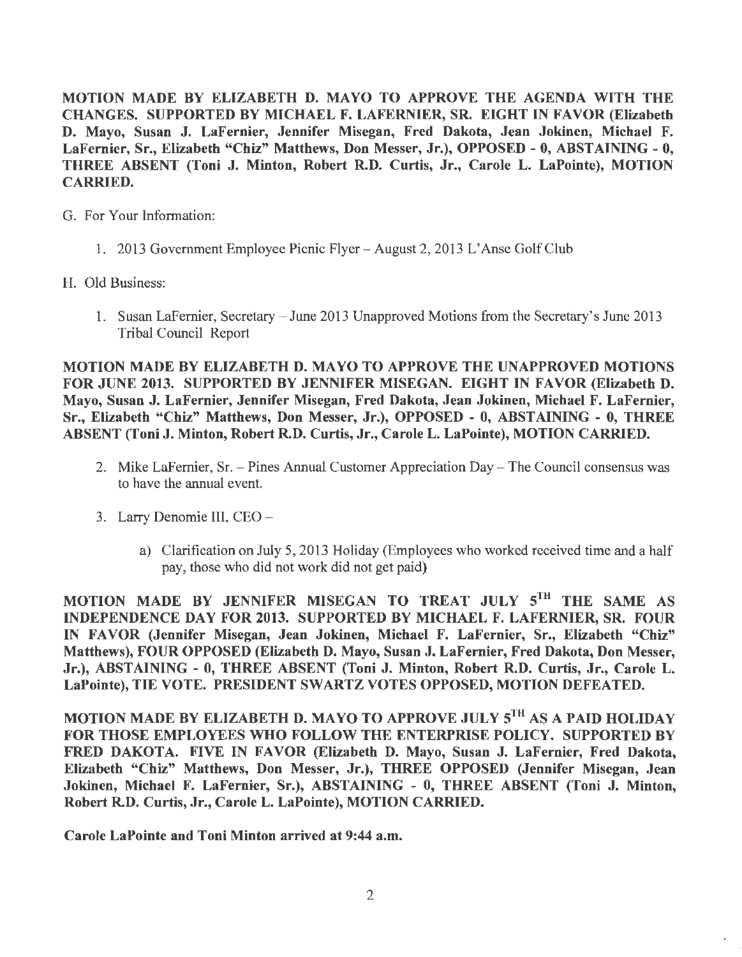MOTION MADE BY ELIZABETH D. MAYO TO APPROVE THE AGENDA WITH THE CHANGES. SUPPORTED BY MICHAEL F. LAFERNIER, SR. EIGHT IN FAVOR (Elizabeth D. Mayo, Susan J. LaFernier, Jennifer Misegan, Fred Dakota, Jean Jokinen, Michael F. LaFernier, Sr., Elizabeth "Chiz" Matthews, Don Messer, Jr.), OPPOSED - 0, ABSTAINING - 0, THREE ABSENT (Toni J. Minton, Robert R.D. Curtis, Jr., Carole L. LaPointe), MOTION CARRIED.

G. For Your Information:

- 1. 2013 Government Employee Picnic Flyer August 2, 2013 L'Anse Golf Club
- H. Old Business:
	- 1. Susan LaFernier, Secretary June 2013 Unapproved Motions from the Secretary's June 2013 Tribal Council Report

MOTION MADE BY ELIZABETH D. MAYO TO APPROVE THE UNAPPROVED MOTIONS FOR JUNE 2013. SUPPORTED BY JENNIFER MISEGAN. EIGHT IN FAVOR (Elizabeth D. Mayo, Susan J. LaFernier, Jennifer Misegan, Fred Dakota, Jean Jokinen, Michael F. LaFernier, Sr., Elizabeth "Chiz" Matthews, Don Messer, Jr.), OPPOSED - O, ABSTAINING - 0, THREE ABSENT (Toni J. Minton, Robert R.D. Curtis, Jr., Carole L. LaPointe), MOTION CARRIED.

- 2. Mike LaFemier, Sr. Pines Annual Customer Appreciation Day The Council consensus was to have the annual event.
- 3. Larry Denomie III, CEO
	- a) Clarification on July 5, 2013 Holiday (Employees who worked received time and a half pay, those who did not work did not get paid)

MOTION MADE BY JENNIFER MISEGAN TO TREAT JULY 5TH THE SAME AS INDEPENDENCE DAY FOR 2013. SUPPORTED BY MICHAEL F. LAFERNIER, SR. FOUR IN FAVOR (Jennifer Misegan, Jean Jokinen, Michael F. LaFernier, Sr., Elizabeth "Chiz" Matthews), FOUR OPPOSED (Elizabeth D. Mayo, Susan J. LaFernier, Fred Dakota, Don Messer, Jr.), ABSTAINING - 0, THREE ABSENT (Toni J. Minton, Robert R.D. Curtis, Jr., Carole L. LaPointe), TIE VOTE. PRESIDENT SWARTZ VOTES OPPOSED, MOTION DEFEATED.

MOTION MADE BY ELIZABETH D. MAYO TO APPROVE JULY 5TH AS A PAID HOLIDAY FOR THOSE EMPLOYEES WHO FOLLOW THE ENTERPRISE POLICY. SUPPORTED BY FRED DAKOTA. FIVE IN FAVOR (Elizabeth D. Mayo, Susan J. LaFernier, Fred Dakota, Elizabeth "Chiz" Matthews, Don Messer, Jr.), THREE OPPOSED (Jennifer Misegan, Jean Jokinen, Michael F. LaFernier, Sr.), ABSTAINING - 0, THREE ABSENT (Toni J. Minton, Robert R.D. Curtis, Jr., Carole L. LaPointe), MOTION CARRIED.

Carole LaPointe and Toni Minton arrived at 9:44 a.m.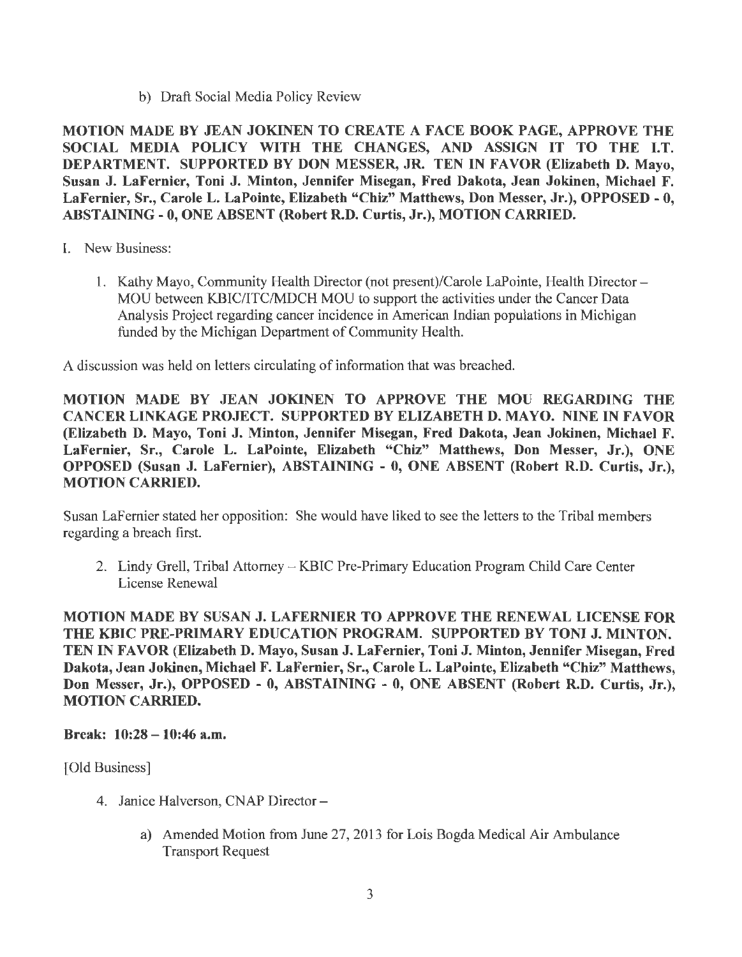b) Draft Social Media Policy Review

MOTION MADE BY JEAN JOKINEN TO CREATE A FACE BOOK PAGE, APPROVE THE SOCIAL MEDIA POLICY WITH THE CHANGES, AND ASSIGN IT TO THE I.T. DEPARTMENT. SUPPORTED BY DON MESSER, JR. TEN IN FAVOR (Elizabeth D. Mayo, Susan J. LaFernier, Toni J. Minton, Jennifer Misegan, Fred Dakota, Jean Jokinen, Michael F. LaFernier, Sr., Carole L. LaPointe, Elizabeth "Chiz" Matthews, Don Messer, Jr.), OPPOSED - O, ABSTAINING - O, ONE ABSENT (Robert R.D. Curtis, Jr.), MOTION CARRIED.

- I. New Business:
	- 1. Kathy Mayo, Community Health Director (not present)/Carole LaPointe, Health Director MOU between KBIC/ITC/MDCH MOU to support the activities under the Cancer Data Analysis Project regarding cancer incidence in American Indian populations in Michigan funded by the Michigan Department of Community Health.

A discussion was held on letters circulating of information that was breached.

MOTION MADE BY JEAN JOKINEN TO APPROVE THE MOU REGARDING THE CANCER LINKAGE PROJECT. SUPPORTED BY ELIZABETH D. MAYO. NINE IN FAVOR (Elizabeth D. Mayo, Toni J. Minton, Jennifer Misegan, Fred Dakota, Jean Jokinen, Michael F. LaFernier, Sr., Carole L. LaPointe, Elizabeth "Chiz" Matthews, Don Messer, Jr.), ONE OPPOSED (Susan J. LaFernier), ABSTAINING - 0, ONE ABSENT (Robert R.D. Curtis, Jr.), MOTION CARRIED.

Susan LaFernier stated her opposition: She would have liked to see the letters to the Tribal members regarding a breach first.

2. Lindy Grell, Tribal Attorney - KBIC Pre-Primary Education Program Child Care Center License Renewal

MOTION MADE BY SUSAN J. LAFERNIER TO APPROVE THE RENEW AL LICENSE FOR THE KBIC PRE-PRIMARY EDUCATION PROGRAM. SUPPORTED BY TONI J. MINTON. TEN IN FAVOR (Elizabeth D. Mayo, Susan J. LaFernier, Toni J. Minton, Jennifer Misegan, Fred Dakota, Jean Jokinen, Michael F. LaFernier, Sr., Carole L. LaPointe, Elizabeth "Chiz" Matthews, Don Messer, Jr.), OPPOSED - O, ABSTAINING - O, ONE ABSENT (Robert R.D. Curtis, Jr.), MOTION CARRIED.

Break: 10:28 -10:46 a.m.

[Old Business]

- 4. Janice Halverson, CNAP Director
	- a) Amended Motion from June 27, 2013 for Lois Bogda Medical Air Ambulance Transport Request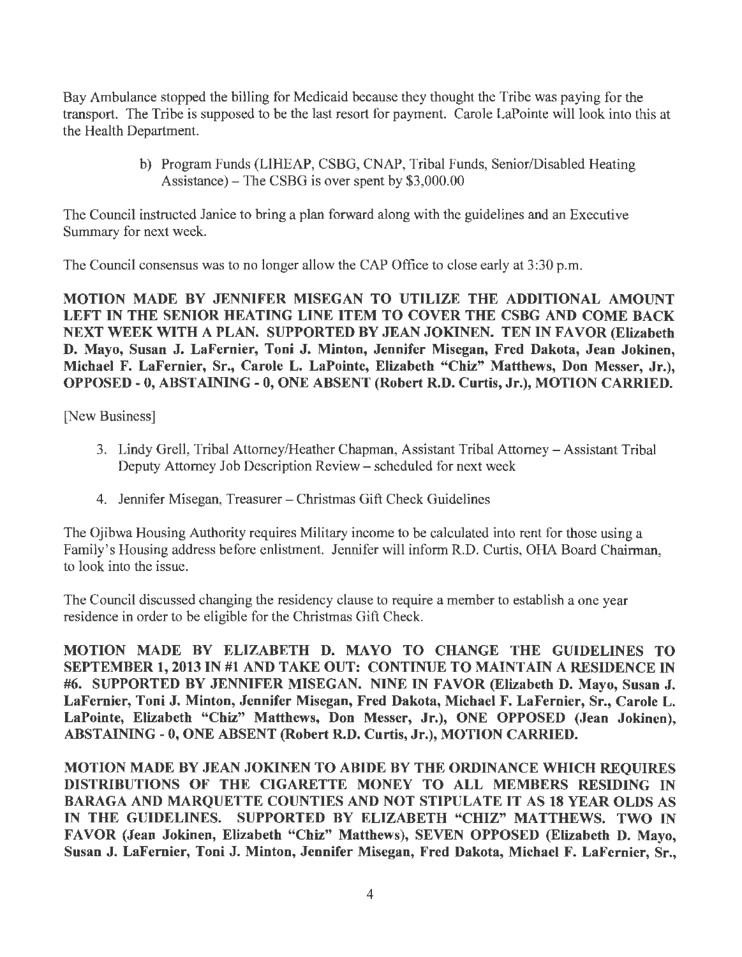Bay Ambulance stopped the billing for Medicaid because they thought the Tribe was paying for the transport. The Tribe is supposed to be the last resort for payment. Carole LaPointe will look into this at the Health Department.

> b) Program Funds (LIHEAP, CSBG, CNAP, Tribal Funds, Senior/Disabled Heating Assistance)-The CSBG is over spent by \$3,000.00

The Council instructed Janice to bring a plan forward along with the guidelines and an Executive Summary for next week.

The Council consensus was to no longer allow the CAP Office to close early at 3:30 p.m.

MOTION MADE BY JENNIFER MISEGAN TO UTILIZE THE ADDITIONAL AMOUNT LEFT IN THE SENIOR HEATING LINE ITEM TO COVER THE CSBG AND COME BACK NEXT WEEK WITH A PLAN. SUPPORTED BY JEAN JOKINEN. TEN IN FAVOR (Elizabeth D. Mayo, Susan J. LaFemier, Toni J. Minton, Jennifer Misegan, Fred Dakota, Jean Jokinen, Michael F. LaFernier, Sr., Carole L. LaPointe, Elizabeth "Chiz" Matthews, Don Messer, Jr.), OPPOSED - O, ABSTAINING - 0, ONE ABSENT (Robert R.D. Curtis, Jr.), MOTION CARRIED.

[New Business]

- 3. Lindy Grell, Tribal Attorney/Heather Chapman, Assistant Tribal Attorney- Assistant Tribal Deputy Attorney Job Description Review - scheduled for next week
- 4. Jennifer Misegan, Treasurer Christmas Gift Check Guidelines

The Ojibwa Housing Authority requires Military income to be calculated into rent for those using a Family's Housing address before enlistment. Jennifer will inform R.D. Curtis, OHA Board Chairman, to look into the issue.

The Council discussed changing the residency clause to require a member to establish a one year residence in order to be eligible for the Christmas Gift Check.

MOTION MADE BY ELIZABETH D. MA YO TO CHANGE THE GUIDELINES TO SEPTEMBER 1, 2013 IN #1 AND TAKE OUT: CONTINUE TO MAINTAIN A RESIDENCE IN #6. SUPPORTED BY JENNIFER MISEGAN. NINE IN FAVOR (Elizabeth D. Mayo, Susan J. LaFernier, Toni J. Minton, Jennifer Misegan, Fred Dakota, Michael F. LaFernier, Sr., Carole L. LaPointe, Elizabeth "Chiz" Matthews, Don Messer, Jr.), ONE OPPOSED (Jean Jokinen), ABSTAINING - 0, ONE ABSENT (Robert R.D. Curtis, Jr.), MOTION CARRIED.

MOTION MADE BY JEAN JOKINEN TO ABIDE BY THE ORDINANCE WHICH REQUIRES DISTRIBUTIONS OF THE CIGARETTE MONEY TO ALL MEMBERS RESIDING IN BARAGA AND MARQUETTE COUNTIES AND NOT STIPULATE IT AS 18 YEAR OLDS AS IN THE GUIDELINES. SUPPORTED BY ELIZABETH "CHIZ" MATTHEWS. TWO IN FAVOR (Jean Jokinen, Elizabeth "Chiz" Matthews), SEVEN OPPOSED (Elizabeth D. Mayo, Susan J. LaFernier, Toni J. Minton, Jennifer Misegan, Fred Dakota, Michael F. LaFernier, Sr.,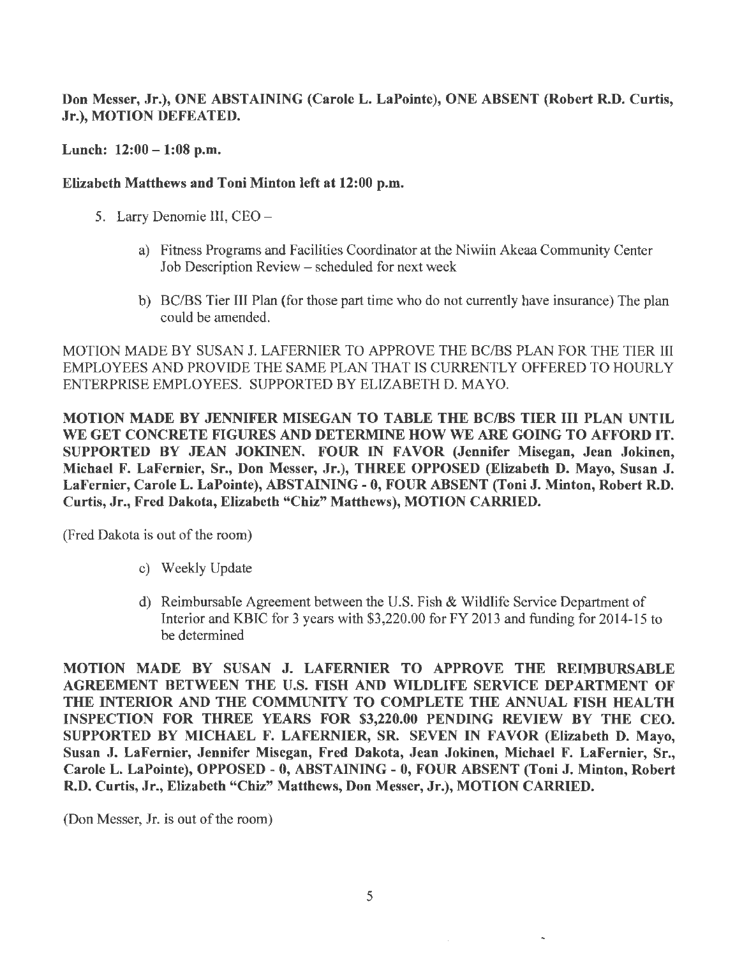Don Messer, Jr.), ONE ABSTAINING (Carole L. LaPointe), ONE ABSENT (Robert R.D. Curtis, Jr.), MOTION DEFEATED.

Lunch:  $12:00 - 1:08$  p.m.

## Elizabeth Matthews and Toni Minton left at 12:00 p.m.

- 5. Larry Denomie III, CEO
	- a) Fitness Programs and Facilities Coordinator at the Niwiin Akeaa Community Center Job Description Review - scheduled for next week
	- b) BC/BS Tier III Plan (for those part time who do not currently have insurance) The plan could be amended.

MOTION MADE BY SUSAN J. LAFERNIER TO APPROVE THE BC/BS PLAN FOR THE TIER III EMPLOYEES AND PROVIDE THE SAME PLAN THAT IS CURRENTLY OFFERED TO HOURLY ENTERPRISE EMPLOYEES. SUPPORTED BY ELIZABETH D. MA YO.

MOTION MADE BY JENNIFER MISEGAN TO TABLE THE BC/BS TIER III PLAN UNTIL WE GET CONCRETE FIGURES AND DETERMINE HOW WE ARE GOING TO AFFORD IT. SUPPORTED BY JEAN JOKINEN. FOUR IN FAVOR (Jennifer Misegan, Jean Jokinen, Michael F. LaFernier, Sr., Don Messer, Jr.), THREE OPPOSED (Elizabeth D. Mayo, Susan J. LaFernier, Carole L. LaPointe), ABSTAINING- O, FOUR ABSENT (Toni J. Minton, Robert R.D. Curtis, Jr., Fred Dakota, Elizabeth "Chiz" Matthews), MOTION CARRIED.

(Fred Dakota is out of the room)

- c) Weekly Update
- d) Reimbursable Agreement between the U.S. Fish & Wildlife Service Department of Interior and KBIC for 3 years with \$3,220.00 for FY 2013 and funding for 2014-15 to be determined

MOTION MADE BY SUSAN J. LAFERNIER TO APPROVE THE REIMBURSABLE AGREEMENT BETWEEN THE U.S. FISH AND WILDLIFE SERVICE DEPARTMENT OF THE INTERIOR AND THE COMMUNITY TO COMPLETE THE ANNUAL FISH HEALTH INSPECTION FOR THREE YEARS FOR \$3,220.00 PENDING REVIEW BY THE CEO. SUPPORTED BY MICHAEL F. LAFERNIER, SR. SEVEN IN FAVOR (Elizabeth D. Mayo, Susan J. LaFernier, Jennifer Misegan, Fred Dakota, Jean Jokinen, Michael F. LaFernier, Sr., Carole L. LaPointe), OPPOSED - 0, ABSTAINING - O, FOUR ABSENT (Toni J. Minton, Robert R.D. Curtis, Jr., Elizabeth "Chiz" Matthews, Don Messer, Jr.), MOTION CARRIED.

(Don Messer, Jr. is out of the room)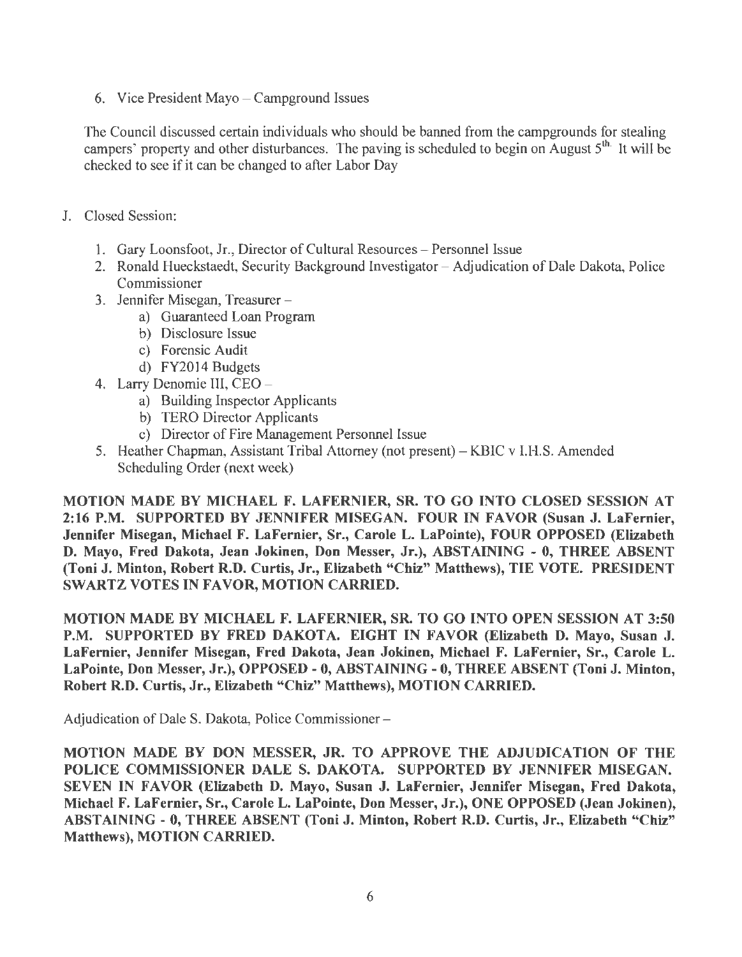6. Vice President Mayo  $-$  Camperound Issues

The Council discussed certain individuals who should be banned from the campgrounds for stealing campers' property and other disturbances. The paving is scheduled to begin on August  $5<sup>th</sup>$ . It will be checked to see if it can be changed to after Labor Day

- J. Closed Session:
	- 1. Gary Loonsfoot, Jr., Director of Cultural Resources Personnel Issue
	- 2. Ronald Hueckstaedt, Security Background Investigator Adjudication of Dale Dakota, Police Commissioner
	- 3. Jennifer Misegan, Treasurer
		- a) Guaranteed Loan Program
		- b) Disclosure Issue
		- c) Forensic Audit
		- d) FY2014 Budgets
	- 4. Larry Denomie III, CEO
		- a) Building Inspector Applicants
		- b) TERO Director Applicants
		- c) Director of Fire Management Personnel Issue
	- 5. Heather Chapman, Assistant Tribal Attorney (not present)-KBIC v l.H.S. Amended Scheduling Order (next week)

MOTION MADE BY MICHAEL F. LAFERNIER, SR. TO GO INTO CLOSED SESSION AT 2:16 P.M. SUPPORTED BY JENNIFER MISEGAN. FOUR IN FAVOR (Susan J. LaFemier, Jennifer Misegan, Michael F. LaFernier, Sr., Carole L. LaPointe), FOUR OPPOSED (Elizabeth D. Mayo, Fred Dakota, Jean Jokinen, Don Messer, Jr.), ABSTAINING - 0, THREE ABSENT (Toni J. Minton, Robert R.D. Curtis, Jr., Elizabeth "Chiz" Matthews), TIE VOTE. PRESIDENT SWARTZ VOTES IN FAVOR, MOTION CARRIED.

MOTION MADE BY MICHAEL F. LAFERNIER, SR. TO GO INTO OPEN SESSION AT 3:50 P.M. SUPPORTED BY FRED DAKOTA. EIGHT IN FAVOR (Elizabeth D. Mayo, Susan J. LaFernier, Jennifer Misegan, Fred Dakota, Jean Jokinen, Michael F. LaFernier, Sr., Carole L. LaPointe, Don Messer, Jr.), OPPOSED - O, ABSTAINING - O, THREE ABSENT (Toni J. Minton, Robert R.D. Curtis, Jr., Elizabeth "Chiz" Matthews), MOTION CARRIED.

Adjudication of Dale S. Dakota, Police Commissioner -

MOTION MADE BY DON MESSER, JR. TO APPROVE THE ADJUDICATION OF THE POLICE COMMISSIONER DALE S. DAKOTA. SUPPORTED BY JENNIFER MISEGAN. SEVEN IN FAVOR (Elizabeth D. Mayo, Susan J. LaFernier, Jennifer Misegan, Fred Dakota, Michael F. LaFernier, Sr., Carole L. LaPointe, Don Messer, Jr.), ONE OPPOSED (Jean Jokinen), ABSTAINING - 0, THREE ABSENT (Toni J. Minton, Robert R.D. Curtis, Jr., Elizabeth "Chiz" Matthews), MOTION CARRIED.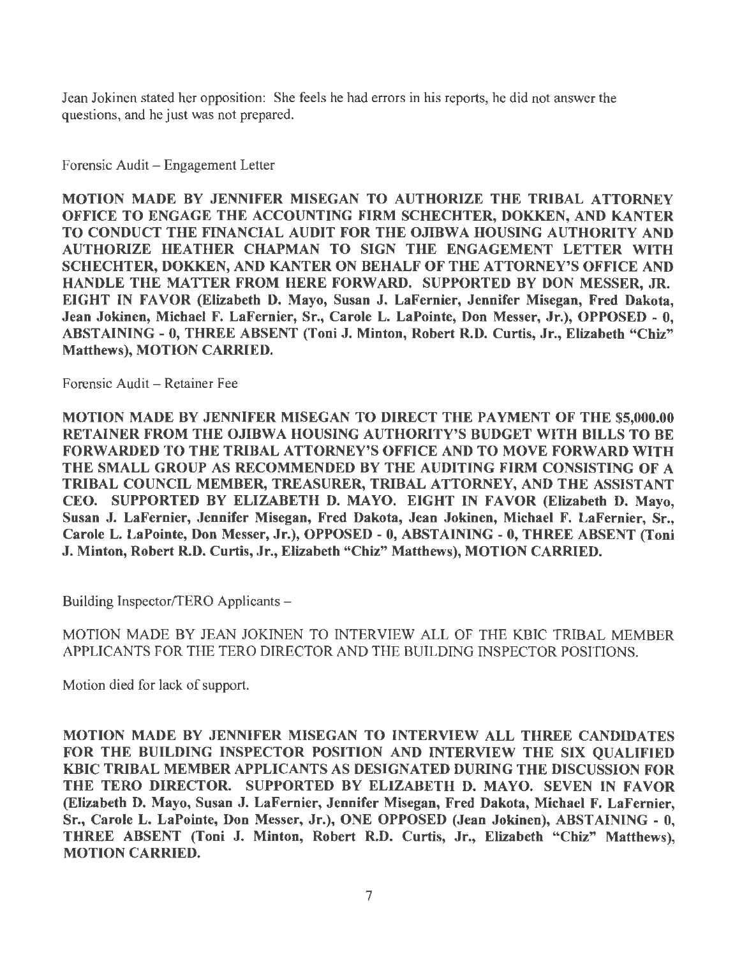Jean Jokinen stated her opposition: She feels he had errors in his reports, he did not answer the questions, and he just was not prepared.

Forensic Audit - Engagement Letter

MOTION MADE BY JENNIFER MISEGAN TO AUTHORIZE THE TRIBAL ATTORNEY OFFICE TO ENGAGE THE ACCOUNTING FIRM SCHECHTER, DOKKEN, AND KANTER TO CONDUCT THE FINANCIAL AUDIT FOR THE OJIBWA HOUSING AUTHORITY AND AUTHORIZE HEATHER CHAPMAN TO SIGN THE ENGAGEMENT LETTER WITH SCHECHTER, DOKKEN, AND KANTER ON BEHALF OF THE ATTORNEY'S OFFICE AND HANDLE THE MATTER FROM HERE FORWARD. SUPPORTED BY DON MESSER, JR. EIGHT IN FAVOR (Elizabeth D. Mayo, Susan J. LaFernier, Jennifer Misegan, Fred Dakota, Jean Jokinen, Michael F. LaFernier, Sr., Carole L. LaPointe, Don Messer, Jr.), OPPOSED - 0, ABSTAINING - 0, THREE ABSENT (Toni J. Minton, Robert R.D. Curtis, Jr., Elizabeth "Chiz" Matthews), MOTION CARRIED.

Forensic Audit - Retainer Fee

MOTION MADE BY JENNIFER MISEGAN TO DIRECT THE PAYMENT OF THE \$5,000.00 RETAINER FROM THE OJIBWA HOUSING AUTHORITY'S BUDGET WITH BILLS TO BE FORWARD ED TO THE TRIBAL ATTORNEY'S OFFICE AND TO MOVE FORWARD WITH THE SMALL GROUP AS RECOMMENDED BY THE AUDITING FIRM CONSISTING OF A TRIBAL COUNCIL MEMBER, TREASURER, TRIBAL ATTORNEY, AND THE ASSISTANT CEO. SUPPORTED BY ELIZABETH D. MA YO. EIGHT IN FAVOR (Elizabeth D. Mayo, Susan J. LaFernier, Jennifer Misegan, Fred Dakota, Jean Jokinen, Michael F. LaFernier, Sr., Carole L. LaPointe, Don Messer, Jr.), OPPOSED - O, ABSTAINING - 0, THREE ABSENT (Toni J. Minton, Robert R.D. Curtis, Jr., Elizabeth "Chiz" Matthews), MOTION CARRIED.

Building Inspector/TERO Applicants -

MOTION MADE BY JEAN JOKINEN TO INTERVIEW ALL OF THE KBIC TRIBAL MEMBER APPLICANTS FOR THE TERO DIRECTOR AND THE BUILDING INSPECTOR POSITIONS.

Motion died for lack of support.

MOTION MADE BY JENNIFER MISEGAN TO INTERVIEW ALL THREE CANDIDATES FOR THE BUILDING INSPECTOR POSITION AND INTERVIEW THE SIX QUALIFIED KBIC TRIBAL MEMBER APPLICANTS AS DESIGNATED DURING THE DISCUSSION FOR THE TERO DIRECTOR. SUPPORTED BY ELIZABETH D. MAYO. SEVEN IN FAVOR (Elizabeth D. Mayo, Susan J. LaFernier, Jennifer Misegan, Fred Dakota, Michael F. LaFernier, Sr., Carole L. LaPointe, Don Messer, Jr.), ONE OPPOSED (Jean Jokinen), ABSTAINING - 0, THREE ABSENT (Toni J. Minton, Robert R.D. Curtis, Jr., Elizabeth "Chiz" Matthews), MOTION CARRIED.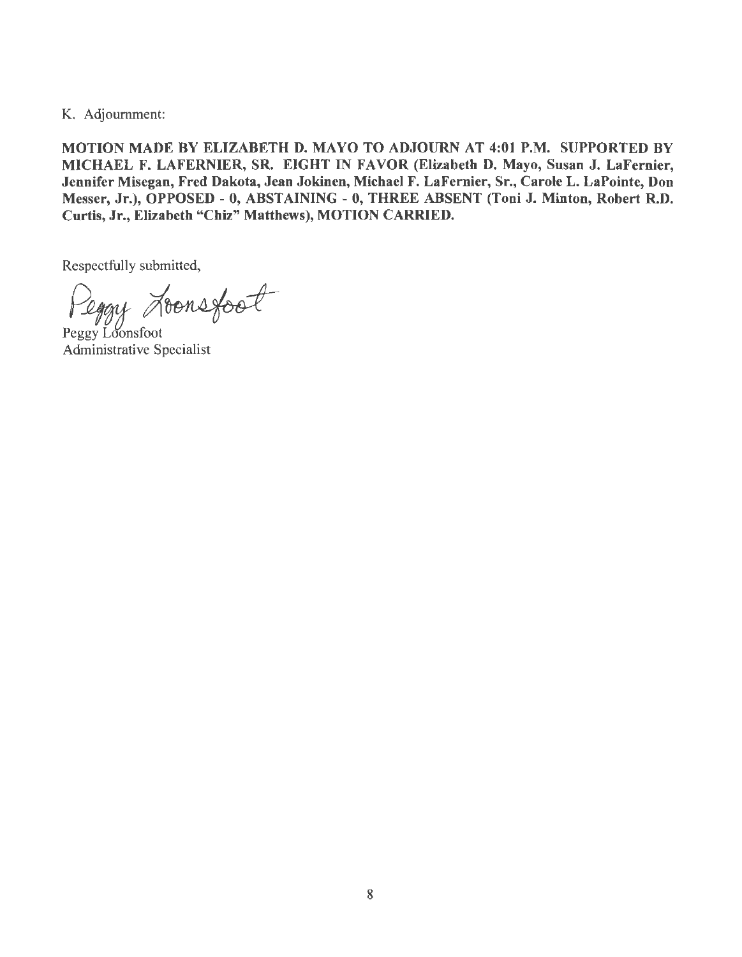K. Adjournment:

MOTION MADE BY ELIZABETH D. MA YO TO ADJOURN AT 4:01 P.M. SUPPORTED BY MICHAEL F. LAFERNIER, SR. EIGHT IN FAVOR (Elizabeth D. Mayo, Susan J. LaFernier, Jennifer Misegan, Fred Dakota, Jean Jokinen, Michael F. LaFernier, Sr., Carole L. LaPointe, Don Messer, Jr.), OPPOSED - O, ABSTAINING - 0, THREE ABSENT (Toni J. Minton, Robert R.D. Curtis, Jr., Elizabeth "Chiz" Matthews), MOTION CARRIED.

Respectfully submitted,

Peggy Aconsfoot

Administrative Specialist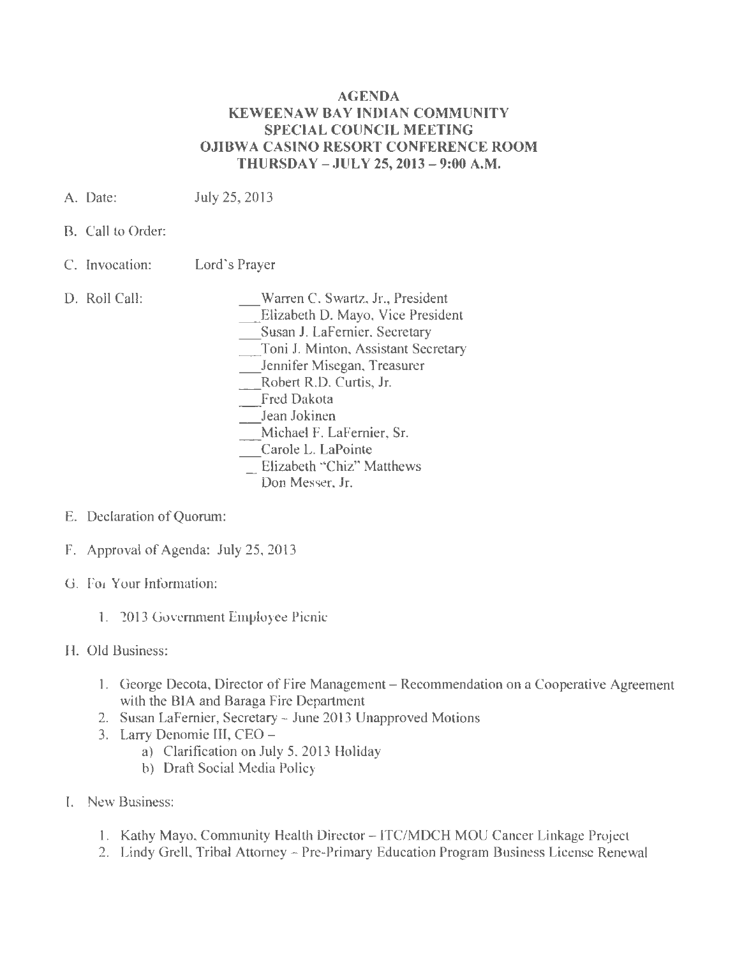#### AGENDA KEWEENAW BAY INDIAN COMMUNITY SPECIAL COUNCIL MEETING OJIBWA CASINO RESORT CONFERENCE ROOM THURSDAY - JULY 25, 2013 - 9:00 A.M.

- A. Date: July 25, 2013
- B. Call to Order:
- C. lnvocation: Lord's Prayer
- D. Roll Call:

\_Warren C. Swartz, Jr., President

\_Elizabeth D. Mayo, Vice President

\_Susan J. LaFernier, Secretary

\_Toni J. Minton, Assistant Secretary

\_Jennifer Misegan, Treasurer

Robert R.D. Curtis, Jr.

- Fred Dakota
- Jean Jokinen

\_Michael F. LaFernier, Sr.

- Carole L. LaPointe
- Elizabeth "Chiz" Matthews

Don Messer, Jr.

- E. Declaration of Quorum:
- F. Approval of Agenda: July 25, 2013
- G. For Your lnfonnation:
	- 1. 2013 Government Employee Picnic
- H. Old Business:
	- 1. George Decota, Director of Fire Management Recommendation on a Cooperative Agreement with the BIA and Baraga Fire Department
	- 2. Susan LaFernier, Secretary June 2013 Unapproved Motions
	- 3. Larry Denomie III, CEO
		- a) Clarification on July 5, 2013 Holiday
		- b) Draft Social Media Policy
- I. New Business:
	- 1. Kathy Mayo, Community Health Director ITCIMDCH MOU Cancer Linkage Project
	- 2. Lindy Grell, Tribal Attorney Pre-Primary Education Program Business License Renewal